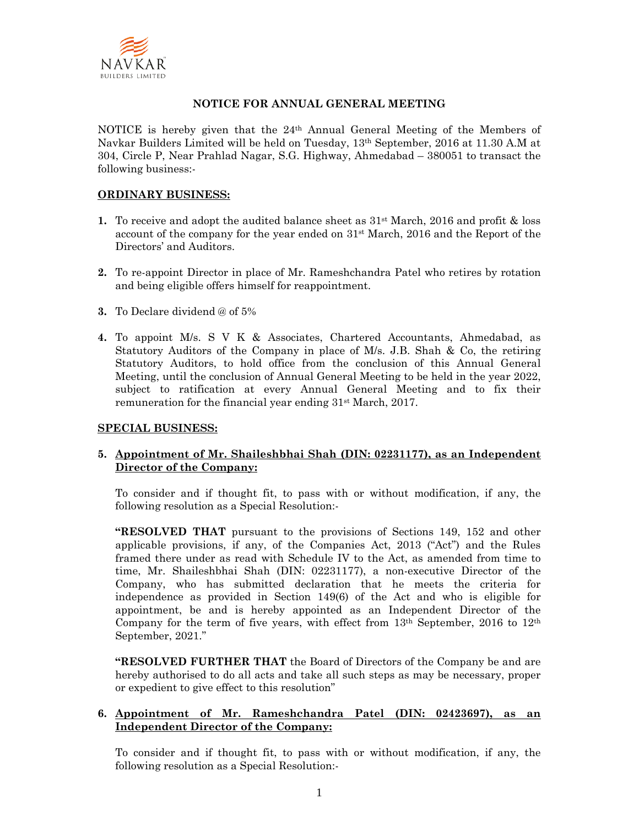

# **NOTICE FOR ANNUAL GENERAL MEETING**

NOTICE is hereby given that the  $24<sup>th</sup>$  Annual General Meeting of the Members of Navkar Builders Limited will be held on Tuesday, 13th September, 2016 at 11.30 A.M at 304, Circle P, Near Prahlad Nagar, S.G. Highway, Ahmedabad – 380051 to transact the following business:-

## **ORDINARY BUSINESS:**

- **1.** To receive and adopt the audited balance sheet as  $31<sup>st</sup>$  March, 2016 and profit & loss account of the company for the year ended on  $31<sup>st</sup>$  March, 2016 and the Report of the Directors' and Auditors.
- **2.** To re-appoint Director in place of Mr. Rameshchandra Patel who retires by rotation and being eligible offers himself for reappointment.
- **3.** To Declare dividend @ of 5%
- **4.** To appoint M/s. S V K & Associates, Chartered Accountants, Ahmedabad, as Statutory Auditors of the Company in place of M/s. J.B. Shah & Co, the retiring Statutory Auditors, to hold office from the conclusion of this Annual General Meeting, until the conclusion of Annual General Meeting to be held in the year 2022, subject to ratification at every Annual General Meeting and to fix their remuneration for the financial year ending 31st March, 2017.

## **SPECIAL BUSINESS:**

# **5. Appointment of Mr. Shaileshbhai Shah (DIN: 02231177), as an Independent Director of the Company:**

To consider and if thought fit, to pass with or without modification, if any, the following resolution as a Special Resolution:-

**"RESOLVED THAT** pursuant to the provisions of Sections 149, 152 and other applicable provisions, if any, of the Companies Act, 2013 ("Act") and the Rules framed there under as read with Schedule IV to the Act, as amended from time to time, Mr. Shaileshbhai Shah (DIN: 02231177), a non-executive Director of the Company, who has submitted declaration that he meets the criteria for independence as provided in Section 149(6) of the Act and who is eligible for appointment, be and is hereby appointed as an Independent Director of the Company for the term of five years, with effect from  $13<sup>th</sup>$  September,  $2016$  to  $12<sup>th</sup>$ September, 2021."

**"RESOLVED FURTHER THAT** the Board of Directors of the Company be and are hereby authorised to do all acts and take all such steps as may be necessary, proper or expedient to give effect to this resolution"

## **6. Appointment of Mr. Rameshchandra Patel (DIN: 02423697), as an Independent Director of the Company:**

To consider and if thought fit, to pass with or without modification, if any, the following resolution as a Special Resolution:-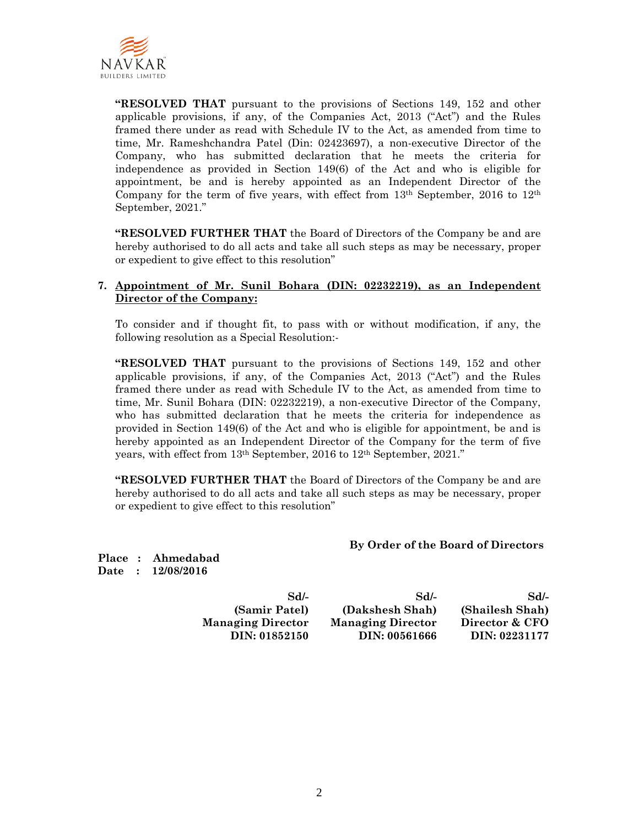

**"RESOLVED THAT** pursuant to the provisions of Sections 149, 152 and other applicable provisions, if any, of the Companies Act, 2013 ("Act") and the Rules framed there under as read with Schedule IV to the Act, as amended from time to time, Mr. Rameshchandra Patel (Din: 02423697), a non-executive Director of the Company, who has submitted declaration that he meets the criteria for independence as provided in Section 149(6) of the Act and who is eligible for appointment, be and is hereby appointed as an Independent Director of the Company for the term of five years, with effect from 13th September, 2016 to 12th September, 2021."

**"RESOLVED FURTHER THAT** the Board of Directors of the Company be and are hereby authorised to do all acts and take all such steps as may be necessary, proper or expedient to give effect to this resolution"

#### **7. Appointment of Mr. Sunil Bohara (DIN: 02232219), as an Independent Director of the Company:**

To consider and if thought fit, to pass with or without modification, if any, the following resolution as a Special Resolution:-

**"RESOLVED THAT** pursuant to the provisions of Sections 149, 152 and other applicable provisions, if any, of the Companies Act, 2013 ("Act") and the Rules framed there under as read with Schedule IV to the Act, as amended from time to time, Mr. Sunil Bohara (DIN: 02232219), a non-executive Director of the Company, who has submitted declaration that he meets the criteria for independence as provided in Section 149(6) of the Act and who is eligible for appointment, be and is hereby appointed as an Independent Director of the Company for the term of five years, with effect from 13th September, 2016 to 12th September, 2021."

**"RESOLVED FURTHER THAT** the Board of Directors of the Company be and are hereby authorised to do all acts and take all such steps as may be necessary, proper or expedient to give effect to this resolution"

**By Order of the Board of Directors** 

**Place : Ahmedabad Date : 12/08/2016** 

**Sd/- Sd/- Sd/- (Samir Patel) (Dakshesh Shah) (Shailesh Shah) Managing Director Managing Director Director & CFO DIN: 01852150 DIN: 00561666 DIN: 02231177**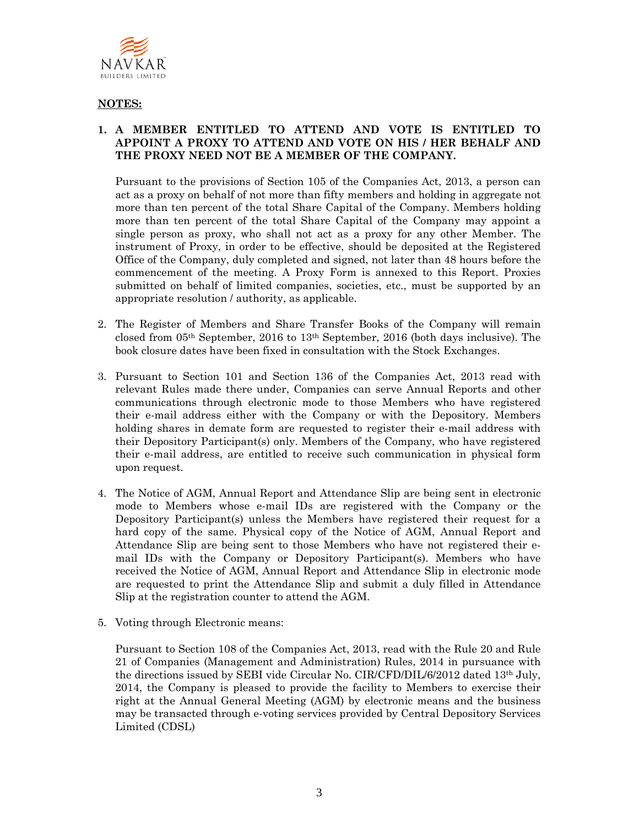

# **NOTES:**

# **1. A MEMBER ENTITLED TO ATTEND AND VOTE IS ENTITLED TO APPOINT A PROXY TO ATTEND AND VOTE ON HIS / HER BEHALF AND THE PROXY NEED NOT BE A MEMBER OF THE COMPANY.**

Pursuant to the provisions of Section 105 of the Companies Act, 2013, a person can act as a proxy on behalf of not more than fifty members and holding in aggregate not more than ten percent of the total Share Capital of the Company. Members holding more than ten percent of the total Share Capital of the Company may appoint a single person as proxy, who shall not act as a proxy for any other Member. The instrument of Proxy, in order to be effective, should be deposited at the Registered Office of the Company, duly completed and signed, not later than 48 hours before the commencement of the meeting. A Proxy Form is annexed to this Report. Proxies submitted on behalf of limited companies, societies, etc., must be supported by an appropriate resolution / authority, as applicable.

- 2. The Register of Members and Share Transfer Books of the Company will remain closed from 05th September, 2016 to 13th September, 2016 (both days inclusive). The book closure dates have been fixed in consultation with the Stock Exchanges.
- 3. Pursuant to Section 101 and Section 136 of the Companies Act, 2013 read with relevant Rules made there under, Companies can serve Annual Reports and other communications through electronic mode to those Members who have registered their e-mail address either with the Company or with the Depository. Members holding shares in demate form are requested to register their e-mail address with their Depository Participant(s) only. Members of the Company, who have registered their e-mail address, are entitled to receive such communication in physical form upon request.
- 4. The Notice of AGM, Annual Report and Attendance Slip are being sent in electronic mode to Members whose e-mail IDs are registered with the Company or the Depository Participant(s) unless the Members have registered their request for a hard copy of the same. Physical copy of the Notice of AGM, Annual Report and Attendance Slip are being sent to those Members who have not registered their email IDs with the Company or Depository Participant(s). Members who have received the Notice of AGM, Annual Report and Attendance Slip in electronic mode are requested to print the Attendance Slip and submit a duly filled in Attendance Slip at the registration counter to attend the AGM.
- 5. Voting through Electronic means:

Pursuant to Section 108 of the Companies Act, 2013, read with the Rule 20 and Rule 21 of Companies (Management and Administration) Rules, 2014 in pursuance with the directions issued by SEBI vide Circular No. CIR/CFD/DIL/6/2012 dated 13th July, 2014, the Company is pleased to provide the facility to Members to exercise their right at the Annual General Meeting (AGM) by electronic means and the business may be transacted through e-voting services provided by Central Depository Services Limited (CDSL)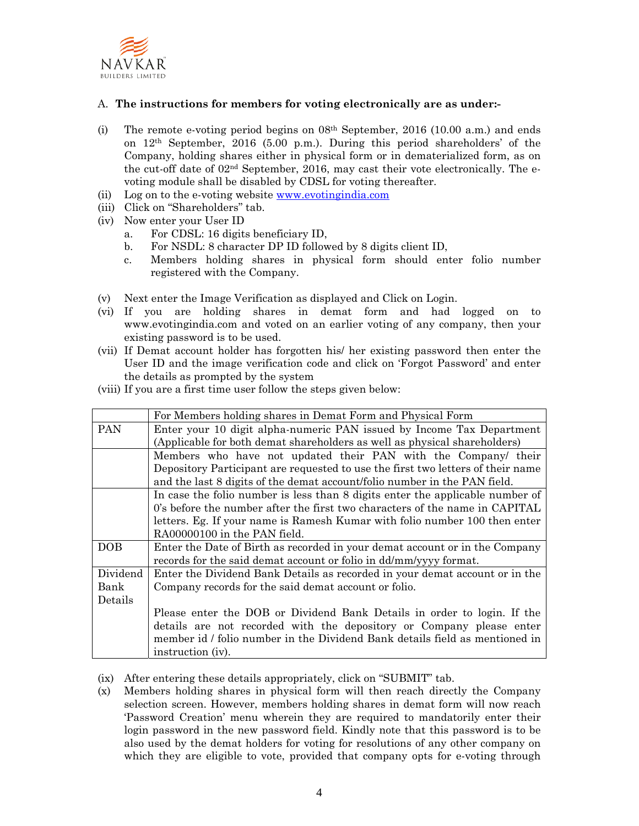

## A. **The instructions for members for voting electronically are as under:-**

- (i) The remote e-voting period begins on  $08<sup>th</sup>$  September, 2016 (10.00 a.m.) and ends on 12th September, 2016 (5.00 p.m.). During this period shareholders' of the Company, holding shares either in physical form or in dematerialized form, as on the cut-off date of 02nd September, 2016, may cast their vote electronically. The evoting module shall be disabled by CDSL for voting thereafter.
- (ii) Log on to the e-voting website www.evotingindia.com
- (iii) Click on "Shareholders" tab.
- (iv) Now enter your User ID
	- a. For CDSL: 16 digits beneficiary ID,
	- b. For NSDL: 8 character DP ID followed by 8 digits client ID,
	- c. Members holding shares in physical form should enter folio number registered with the Company.
- (v) Next enter the Image Verification as displayed and Click on Login.
- (vi) If you are holding shares in demat form and had logged on to www.evotingindia.com and voted on an earlier voting of any company, then your existing password is to be used.
- (vii) If Demat account holder has forgotten his/ her existing password then enter the User ID and the image verification code and click on 'Forgot Password' and enter the details as prompted by the system
- (viii) If you are a first time user follow the steps given below:

|            | For Members holding shares in Demat Form and Physical Form                      |  |  |  |  |  |
|------------|---------------------------------------------------------------------------------|--|--|--|--|--|
| <b>PAN</b> | Enter your 10 digit alpha-numeric PAN issued by Income Tax Department           |  |  |  |  |  |
|            | (Applicable for both demat shareholders as well as physical shareholders)       |  |  |  |  |  |
|            | Members who have not updated their PAN with the Company/ their                  |  |  |  |  |  |
|            | Depository Participant are requested to use the first two letters of their name |  |  |  |  |  |
|            | and the last 8 digits of the demat account/folio number in the PAN field.       |  |  |  |  |  |
|            | In case the folio number is less than 8 digits enter the applicable number of   |  |  |  |  |  |
|            | 0's before the number after the first two characters of the name in CAPITAL     |  |  |  |  |  |
|            | letters. Eg. If your name is Ramesh Kumar with folio number 100 then enter      |  |  |  |  |  |
|            | RA00000100 in the PAN field.                                                    |  |  |  |  |  |
| DOB        | Enter the Date of Birth as recorded in your demat account or in the Company     |  |  |  |  |  |
|            | records for the said demat account or folio in dd/mm/yyyy format.               |  |  |  |  |  |
| Dividend   | Enter the Dividend Bank Details as recorded in your demat account or in the     |  |  |  |  |  |
| Bank       | Company records for the said demat account or folio.                            |  |  |  |  |  |
| Details    |                                                                                 |  |  |  |  |  |
|            | Please enter the DOB or Dividend Bank Details in order to login. If the         |  |  |  |  |  |
|            | details are not recorded with the depository or Company please enter            |  |  |  |  |  |
|            | member id / folio number in the Dividend Bank details field as mentioned in     |  |  |  |  |  |
|            | instruction (iv).                                                               |  |  |  |  |  |

- (ix) After entering these details appropriately, click on "SUBMIT" tab.
- (x) Members holding shares in physical form will then reach directly the Company selection screen. However, members holding shares in demat form will now reach 'Password Creation' menu wherein they are required to mandatorily enter their login password in the new password field. Kindly note that this password is to be also used by the demat holders for voting for resolutions of any other company on which they are eligible to vote, provided that company opts for e-voting through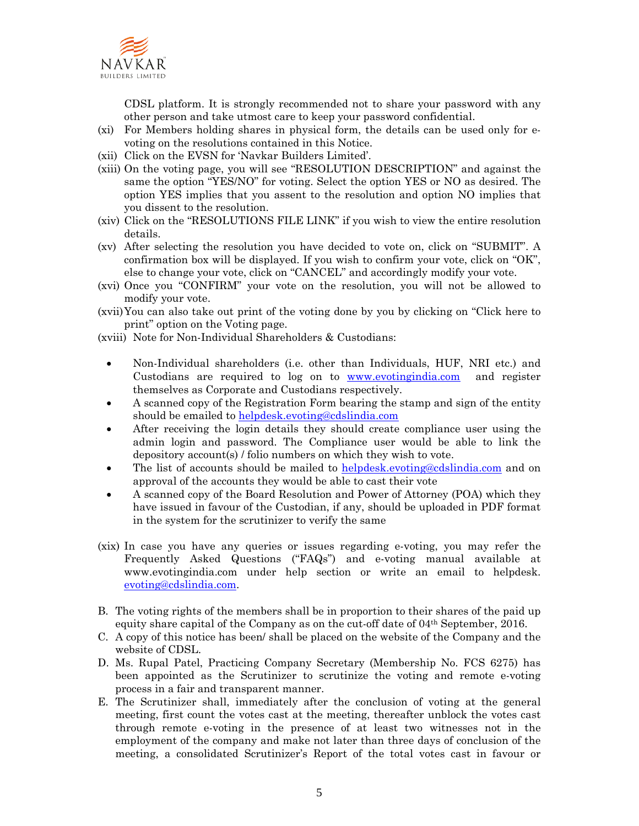

CDSL platform. It is strongly recommended not to share your password with any other person and take utmost care to keep your password confidential.

- (xi) For Members holding shares in physical form, the details can be used only for evoting on the resolutions contained in this Notice.
- (xii) Click on the EVSN for 'Navkar Builders Limited'.
- (xiii) On the voting page, you will see "RESOLUTION DESCRIPTION" and against the same the option "YES/NO" for voting. Select the option YES or NO as desired. The option YES implies that you assent to the resolution and option NO implies that you dissent to the resolution.
- (xiv) Click on the "RESOLUTIONS FILE LINK" if you wish to view the entire resolution details.
- (xv) After selecting the resolution you have decided to vote on, click on "SUBMIT". A confirmation box will be displayed. If you wish to confirm your vote, click on "OK", else to change your vote, click on "CANCEL" and accordingly modify your vote.
- (xvi) Once you "CONFIRM" your vote on the resolution, you will not be allowed to modify your vote.
- (xvii)You can also take out print of the voting done by you by clicking on "Click here to print" option on the Voting page.
- (xviii) Note for Non-Individual Shareholders & Custodians:
	- Non-Individual shareholders (i.e. other than Individuals, HUF, NRI etc.) and Custodians are required to log on to www.evotingindia.com and register themselves as Corporate and Custodians respectively.
	- A scanned copy of the Registration Form bearing the stamp and sign of the entity should be emailed to helpdesk.evoting@cdslindia.com
	- After receiving the login details they should create compliance user using the admin login and password. The Compliance user would be able to link the depository account(s) / folio numbers on which they wish to vote.
	- The list of accounts should be mailed to helpdesk.evoting@cdslindia.com and on approval of the accounts they would be able to cast their vote
	- A scanned copy of the Board Resolution and Power of Attorney (POA) which they have issued in favour of the Custodian, if any, should be uploaded in PDF format in the system for the scrutinizer to verify the same
- (xix) In case you have any queries or issues regarding e-voting, you may refer the Frequently Asked Questions ("FAQs") and e-voting manual available at www.evotingindia.com under help section or write an email to helpdesk. evoting@cdslindia.com.
- B. The voting rights of the members shall be in proportion to their shares of the paid up equity share capital of the Company as on the cut-off date of 04th September, 2016.
- C. A copy of this notice has been/ shall be placed on the website of the Company and the website of CDSL.
- D. Ms. Rupal Patel, Practicing Company Secretary (Membership No. FCS 6275) has been appointed as the Scrutinizer to scrutinize the voting and remote e-voting process in a fair and transparent manner.
- E. The Scrutinizer shall, immediately after the conclusion of voting at the general meeting, first count the votes cast at the meeting, thereafter unblock the votes cast through remote e-voting in the presence of at least two witnesses not in the employment of the company and make not later than three days of conclusion of the meeting, a consolidated Scrutinizer's Report of the total votes cast in favour or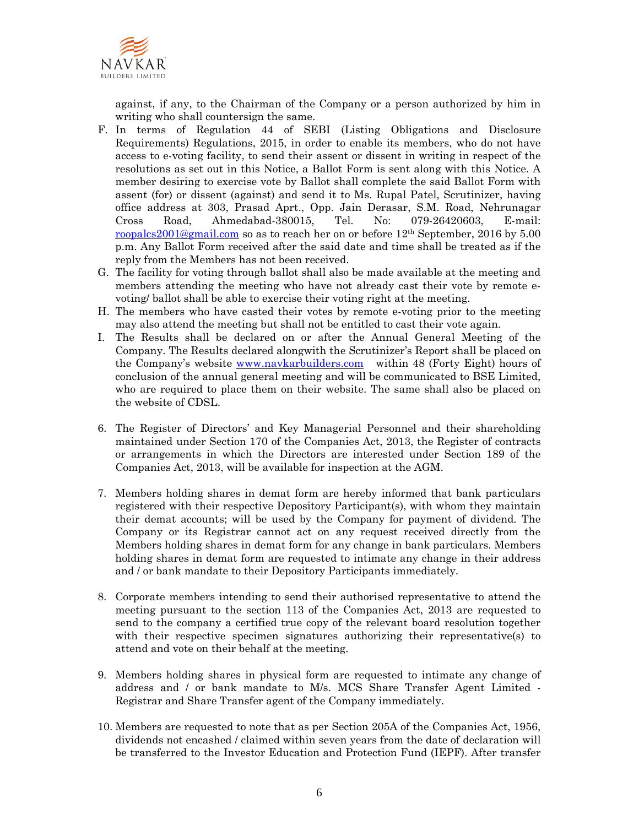

against, if any, to the Chairman of the Company or a person authorized by him in writing who shall countersign the same.

- F. In terms of Regulation 44 of SEBI (Listing Obligations and Disclosure Requirements) Regulations, 2015, in order to enable its members, who do not have access to e-voting facility, to send their assent or dissent in writing in respect of the resolutions as set out in this Notice, a Ballot Form is sent along with this Notice. A member desiring to exercise vote by Ballot shall complete the said Ballot Form with assent (for) or dissent (against) and send it to Ms. Rupal Patel, Scrutinizer, having office address at 303, Prasad Aprt., Opp. Jain Derasar, S.M. Road, Nehrunagar Cross Road, Ahmedabad-380015, Tel. No: 079-26420603, E-mail: roopalcs2001@gmail.com so as to reach her on or before 12th September, 2016 by 5.00 p.m. Any Ballot Form received after the said date and time shall be treated as if the reply from the Members has not been received.
- G. The facility for voting through ballot shall also be made available at the meeting and members attending the meeting who have not already cast their vote by remote evoting/ ballot shall be able to exercise their voting right at the meeting.
- H. The members who have casted their votes by remote e-voting prior to the meeting may also attend the meeting but shall not be entitled to cast their vote again.
- I. The Results shall be declared on or after the Annual General Meeting of the Company. The Results declared alongwith the Scrutinizer's Report shall be placed on the Company's website www.navkarbuilders.com within 48 (Forty Eight) hours of conclusion of the annual general meeting and will be communicated to BSE Limited, who are required to place them on their website. The same shall also be placed on the website of CDSL.
- 6. The Register of Directors' and Key Managerial Personnel and their shareholding maintained under Section 170 of the Companies Act, 2013, the Register of contracts or arrangements in which the Directors are interested under Section 189 of the Companies Act, 2013, will be available for inspection at the AGM.
- 7. Members holding shares in demat form are hereby informed that bank particulars registered with their respective Depository Participant(s), with whom they maintain their demat accounts; will be used by the Company for payment of dividend. The Company or its Registrar cannot act on any request received directly from the Members holding shares in demat form for any change in bank particulars. Members holding shares in demat form are requested to intimate any change in their address and / or bank mandate to their Depository Participants immediately.
- 8. Corporate members intending to send their authorised representative to attend the meeting pursuant to the section 113 of the Companies Act, 2013 are requested to send to the company a certified true copy of the relevant board resolution together with their respective specimen signatures authorizing their representative(s) to attend and vote on their behalf at the meeting.
- 9. Members holding shares in physical form are requested to intimate any change of address and / or bank mandate to M/s. MCS Share Transfer Agent Limited - Registrar and Share Transfer agent of the Company immediately.
- 10. Members are requested to note that as per Section 205A of the Companies Act, 1956, dividends not encashed / claimed within seven years from the date of declaration will be transferred to the Investor Education and Protection Fund (IEPF). After transfer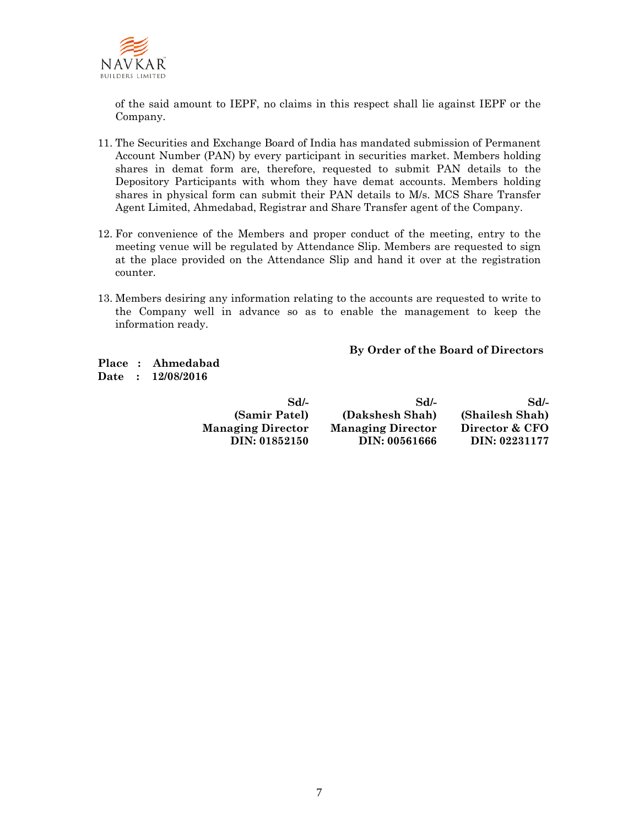

of the said amount to IEPF, no claims in this respect shall lie against IEPF or the Company.

- 11. The Securities and Exchange Board of India has mandated submission of Permanent Account Number (PAN) by every participant in securities market. Members holding shares in demat form are, therefore, requested to submit PAN details to the Depository Participants with whom they have demat accounts. Members holding shares in physical form can submit their PAN details to M/s. MCS Share Transfer Agent Limited, Ahmedabad, Registrar and Share Transfer agent of the Company.
- 12. For convenience of the Members and proper conduct of the meeting, entry to the meeting venue will be regulated by Attendance Slip. Members are requested to sign at the place provided on the Attendance Slip and hand it over at the registration counter.
- 13. Members desiring any information relating to the accounts are requested to write to the Company well in advance so as to enable the management to keep the information ready.

#### **By Order of the Board of Directors**

**Place : Ahmedabad Date : 12/08/2016** 

| $Sd$ -                   | SdL                      | $Sd$ -          |
|--------------------------|--------------------------|-----------------|
| (Samir Patel)            | (Dakshesh Shah)          | (Shailesh Shah) |
| <b>Managing Director</b> | <b>Managing Director</b> | Director & CFO  |
| DIN: 01852150            | DIN: 00561666            | DIN: 02231177   |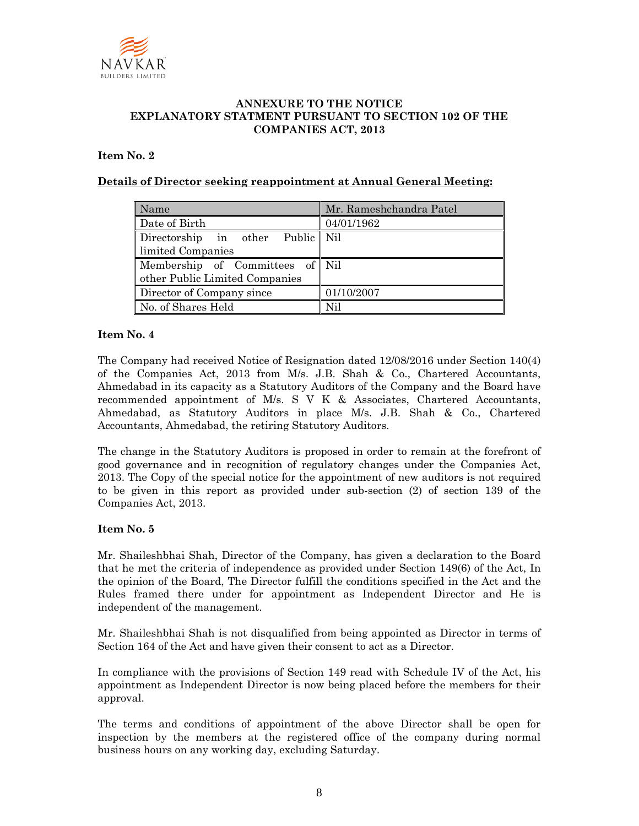

# **ANNEXURE TO THE NOTICE EXPLANATORY STATMENT PURSUANT TO SECTION 102 OF THE COMPANIES ACT, 2013**

## **Item No. 2**

## **Details of Director seeking reappointment at Annual General Meeting:**

| Name                                                              | Mr. Rameshchandra Patel |
|-------------------------------------------------------------------|-------------------------|
| Date of Birth                                                     | 04/01/1962              |
| Directorship in other Public Nil<br>limited Companies             |                         |
| Membership of Committees of Nil<br>other Public Limited Companies |                         |
| Director of Company since                                         | 01/10/2007              |
| No. of Shares Held                                                | Nil                     |

#### **Item No. 4**

The Company had received Notice of Resignation dated 12/08/2016 under Section 140(4) of the Companies Act, 2013 from M/s. J.B. Shah & Co., Chartered Accountants, Ahmedabad in its capacity as a Statutory Auditors of the Company and the Board have recommended appointment of M/s. S V K & Associates, Chartered Accountants, Ahmedabad, as Statutory Auditors in place M/s. J.B. Shah & Co., Chartered Accountants, Ahmedabad, the retiring Statutory Auditors.

The change in the Statutory Auditors is proposed in order to remain at the forefront of good governance and in recognition of regulatory changes under the Companies Act, 2013. The Copy of the special notice for the appointment of new auditors is not required to be given in this report as provided under sub-section (2) of section 139 of the Companies Act, 2013.

#### **Item No. 5**

Mr. Shaileshbhai Shah, Director of the Company, has given a declaration to the Board that he met the criteria of independence as provided under Section 149(6) of the Act, In the opinion of the Board, The Director fulfill the conditions specified in the Act and the Rules framed there under for appointment as Independent Director and He is independent of the management.

Mr. Shaileshbhai Shah is not disqualified from being appointed as Director in terms of Section 164 of the Act and have given their consent to act as a Director.

In compliance with the provisions of Section 149 read with Schedule IV of the Act, his appointment as Independent Director is now being placed before the members for their approval.

The terms and conditions of appointment of the above Director shall be open for inspection by the members at the registered office of the company during normal business hours on any working day, excluding Saturday.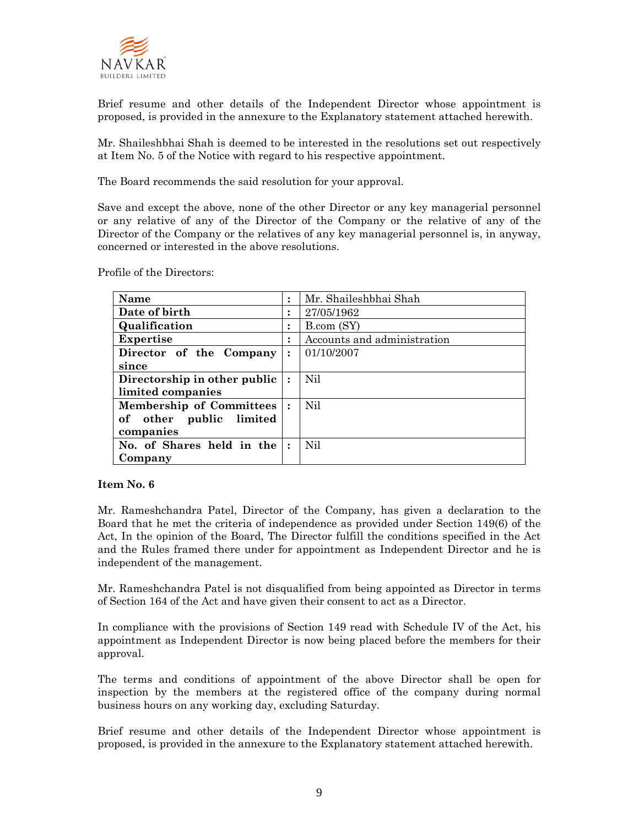

Brief resume and other details of the Independent Director whose appointment is proposed, is provided in the annexure to the Explanatory statement attached herewith.

Mr. Shaileshbhai Shah is deemed to be interested in the resolutions set out respectively at Item No. 5 of the Notice with regard to his respective appointment.

The Board recommends the said resolution for your approval.

Save and except the above, none of the other Director or any key managerial personnel or any relative of any of the Director of the Company or the relative of any of the Director of the Company or the relatives of any key managerial personnel is, in anyway, concerned or interested in the above resolutions.

Profile of the Directors:

| <b>Name</b>                     |                | Mr. Shaileshbhai Shah       |
|---------------------------------|----------------|-----------------------------|
| Date of birth                   |                | 27/05/1962                  |
| Qualification                   |                | B.com (SY)                  |
| <b>Expertise</b>                |                | Accounts and administration |
| Director of the Company         | $\ddot{\cdot}$ | 01/10/2007                  |
| since                           |                |                             |
| Directorship in other public    |                | Nil                         |
| limited companies               |                |                             |
| <b>Membership of Committees</b> |                | Nil                         |
| other public limited<br>of      |                |                             |
| companies                       |                |                             |
| No. of Shares held in the       |                | Nil                         |
| Company                         |                |                             |

#### **Item No. 6**

Mr. Rameshchandra Patel, Director of the Company, has given a declaration to the Board that he met the criteria of independence as provided under Section 149(6) of the Act, In the opinion of the Board, The Director fulfill the conditions specified in the Act and the Rules framed there under for appointment as Independent Director and he is independent of the management.

Mr. Rameshchandra Patel is not disqualified from being appointed as Director in terms of Section 164 of the Act and have given their consent to act as a Director.

In compliance with the provisions of Section 149 read with Schedule IV of the Act, his appointment as Independent Director is now being placed before the members for their approval.

The terms and conditions of appointment of the above Director shall be open for inspection by the members at the registered office of the company during normal business hours on any working day, excluding Saturday.

Brief resume and other details of the Independent Director whose appointment is proposed, is provided in the annexure to the Explanatory statement attached herewith.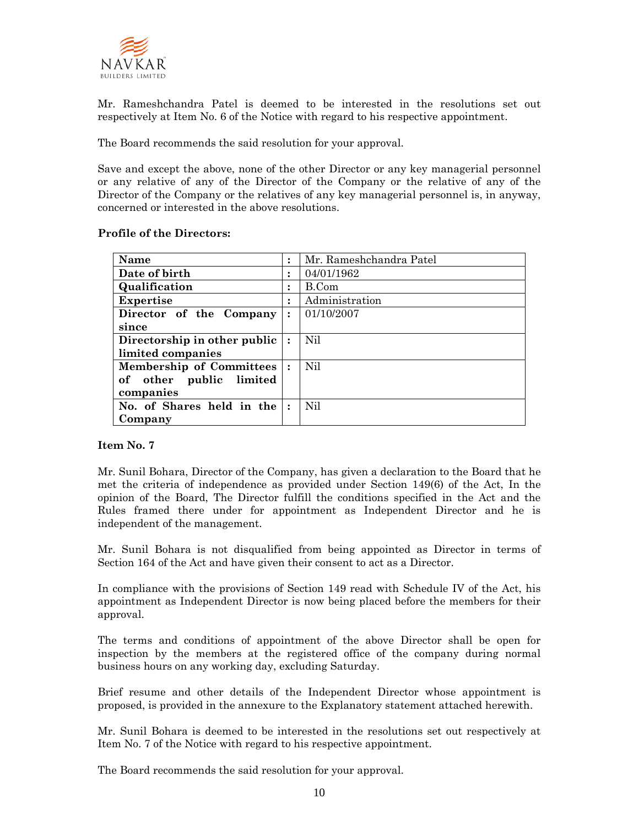

Mr. Rameshchandra Patel is deemed to be interested in the resolutions set out respectively at Item No. 6 of the Notice with regard to his respective appointment.

The Board recommends the said resolution for your approval.

Save and except the above, none of the other Director or any key managerial personnel or any relative of any of the Director of the Company or the relative of any of the Director of the Company or the relatives of any key managerial personnel is, in anyway, concerned or interested in the above resolutions.

|  | Profile of the Directors: |  |
|--|---------------------------|--|
|  |                           |  |

| Name                            |                | Mr. Rameshchandra Patel |
|---------------------------------|----------------|-------------------------|
| Date of birth                   |                | 04/01/1962              |
| Qualification                   |                | B.Com                   |
| <b>Expertise</b>                |                | Administration          |
| Director of the Company         | $\ddot{\cdot}$ | 01/10/2007              |
| since                           |                |                         |
| Directorship in other public    |                | Nil                     |
| limited companies               |                |                         |
| <b>Membership of Committees</b> |                | Nil                     |
| other public limited<br>of      |                |                         |
| companies                       |                |                         |
| No. of Shares held in the       |                | Nil                     |
| Company                         |                |                         |

## **Item No. 7**

Mr. Sunil Bohara, Director of the Company, has given a declaration to the Board that he met the criteria of independence as provided under Section 149(6) of the Act, In the opinion of the Board, The Director fulfill the conditions specified in the Act and the Rules framed there under for appointment as Independent Director and he is independent of the management.

Mr. Sunil Bohara is not disqualified from being appointed as Director in terms of Section 164 of the Act and have given their consent to act as a Director.

In compliance with the provisions of Section 149 read with Schedule IV of the Act, his appointment as Independent Director is now being placed before the members for their approval.

The terms and conditions of appointment of the above Director shall be open for inspection by the members at the registered office of the company during normal business hours on any working day, excluding Saturday.

Brief resume and other details of the Independent Director whose appointment is proposed, is provided in the annexure to the Explanatory statement attached herewith.

Mr. Sunil Bohara is deemed to be interested in the resolutions set out respectively at Item No. 7 of the Notice with regard to his respective appointment.

The Board recommends the said resolution for your approval.